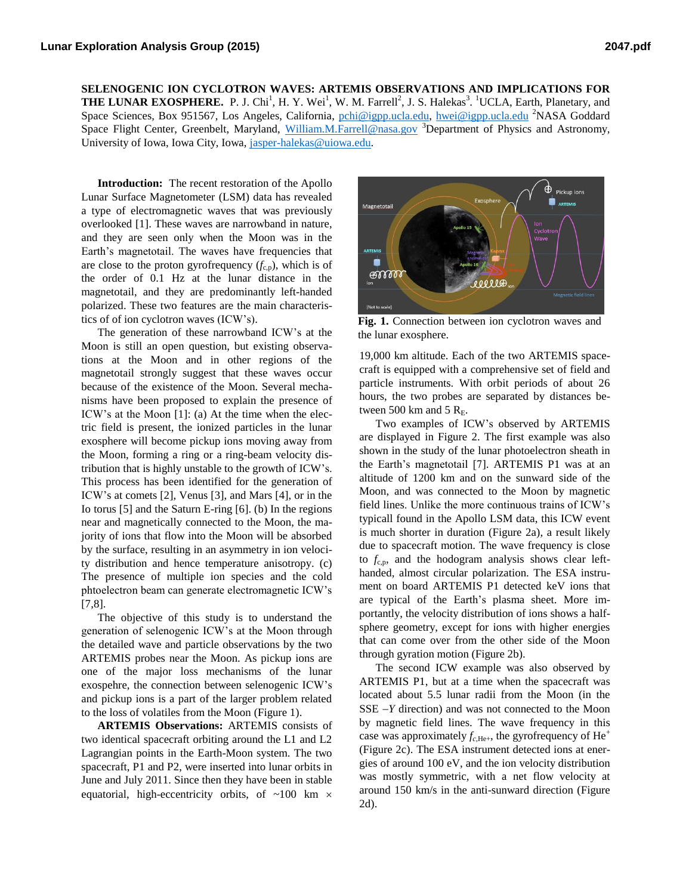**SELENOGENIC ION CYCLOTRON WAVES: ARTEMIS OBSERVATIONS AND IMPLICATIONS FOR THE LUNAR EXOSPHERE.** P. J. Chi<sup>1</sup>, H. Y. Wei<sup>1</sup>, W. M. Farrell<sup>2</sup>, J. S. Halekas<sup>3</sup>. <sup>1</sup>UCLA, Earth, Planetary, and Space Sciences, Box 951567, Los Angeles, California, [pchi@igpp.ucla.edu,](mailto:pchi@igpp.ucla.edu) [hwei@igpp.ucla.edu](mailto:hwei@igpp.ucla.edu) <sup>2</sup>NASA Goddard Space Flight Center, Greenbelt, Maryland, [William.M.Farrell@nasa.gov](mailto:William.M.Farrell@nasa.gov) <sup>3</sup>Department of Physics and Astronomy, University of Iowa, Iowa City, Iowa, [jasper-halekas@uiowa.edu.](mailto:jasper-halekas@uiowa.edu)

**Introduction:** The recent restoration of the Apollo Lunar Surface Magnetometer (LSM) data has revealed a type of electromagnetic waves that was previously overlooked [1]. These waves are narrowband in nature, and they are seen only when the Moon was in the Earth's magnetotail. The waves have frequencies that are close to the proton gyrofrequency  $(f_{c,p})$ , which is of the order of 0.1 Hz at the lunar distance in the magnetotail, and they are predominantly left-handed polarized. These two features are the main characteristics of of ion cyclotron waves (ICW's).

The generation of these narrowband ICW's at the Moon is still an open question, but existing observations at the Moon and in other regions of the magnetotail strongly suggest that these waves occur because of the existence of the Moon. Several mechanisms have been proposed to explain the presence of ICW's at the Moon [1]: (a) At the time when the electric field is present, the ionized particles in the lunar exosphere will become pickup ions moving away from the Moon, forming a ring or a ring-beam velocity distribution that is highly unstable to the growth of ICW's. This process has been identified for the generation of ICW's at comets [2], Venus [3], and Mars [4], or in the Io torus [5] and the Saturn E-ring [6]. (b) In the regions near and magnetically connected to the Moon, the majority of ions that flow into the Moon will be absorbed by the surface, resulting in an asymmetry in ion velocity distribution and hence temperature anisotropy. (c) The presence of multiple ion species and the cold phtoelectron beam can generate electromagnetic ICW's [7,8].

The objective of this study is to understand the generation of selenogenic ICW's at the Moon through the detailed wave and particle observations by the two ARTEMIS probes near the Moon. As pickup ions are one of the major loss mechanisms of the lunar exospehre, the connection between selenogenic ICW's and pickup ions is a part of the larger problem related to the loss of volatiles from the Moon (Figure 1).

**ARTEMIS Observations:** ARTEMIS consists of two identical spacecraft orbiting around the L1 and L2 Lagrangian points in the Earth-Moon system. The two spacecraft, P1 and P2, were inserted into lunar orbits in June and July 2011. Since then they have been in stable equatorial, high-eccentricity orbits, of  $~100$  km  $\times$ 



**Fig. 1.** Connection between ion cyclotron waves and the lunar exosphere.

19,000 km altitude. Each of the two ARTEMIS spacecraft is equipped with a comprehensive set of field and particle instruments. With orbit periods of about 26 hours, the two probes are separated by distances between 500 km and 5  $R<sub>E</sub>$ .

Two examples of ICW's observed by ARTEMIS are displayed in Figure 2. The first example was also shown in the study of the lunar photoelectron sheath in the Earth's magnetotail [7]. ARTEMIS P1 was at an altitude of 1200 km and on the sunward side of the Moon, and was connected to the Moon by magnetic field lines. Unlike the more continuous trains of ICW's typicall found in the Apollo LSM data, this ICW event is much shorter in duration (Figure 2a), a result likely due to spacecraft motion. The wave frequency is close to  $f_{c,p}$ , and the hodogram analysis shows clear lefthanded, almost circular polarization. The ESA instrument on board ARTEMIS P1 detected keV ions that are typical of the Earth's plasma sheet. More importantly, the velocity distribution of ions shows a halfsphere geometry, except for ions with higher energies that can come over from the other side of the Moon through gyration motion (Figure 2b).

The second ICW example was also observed by ARTEMIS P1, but at a time when the spacecraft was located about 5.5 lunar radii from the Moon (in the  $SSE - Y$  direction) and was not connected to the Moon by magnetic field lines. The wave frequency in this case was approximately  $f_{c,He+}$ , the gyrofrequency of He<sup>+</sup> (Figure 2c). The ESA instrument detected ions at energies of around 100 eV, and the ion velocity distribution was mostly symmetric, with a net flow velocity at around 150 km/s in the anti-sunward direction (Figure 2d).